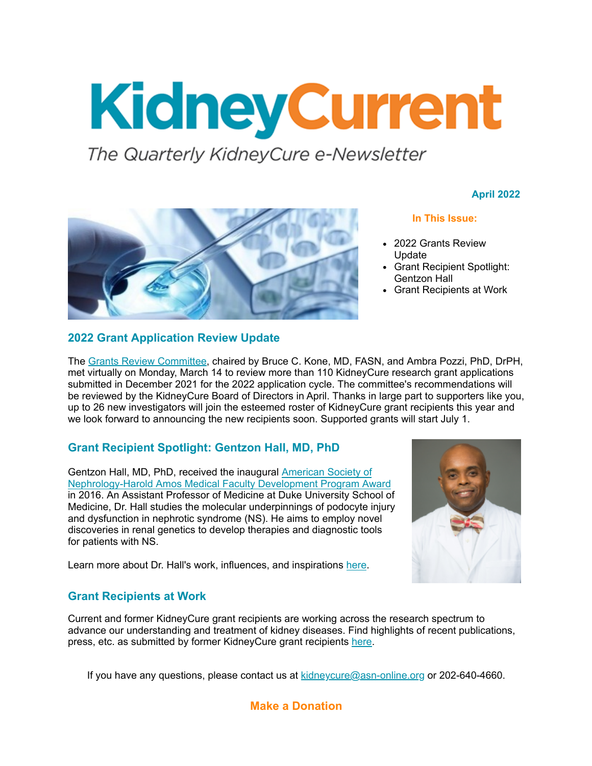# KidneyCurrent

The Quarterly KidneyCure e-Newsletter

#### **April 2022**



#### **2022 Grant Application Review Update**

#### **In This Issue:**

- 2022 Grants Review Update
- Grant Recipient Spotlight: Gentzon Hall
- Grant Recipients at Work

The [Grants Review Committee](http://send.asn-online.org/link.cfm?r=gFv-noe244TujwwtKtNDpg~~&pe=-Ymkf03hAZ8rlZ7D5DbgeATz2_C0Hg3PvIUxSzg3ppWAu_9szu0sH7l39qPkFOxb&t=INSERT_TRACKING_ENCID), chaired by Bruce C. Kone, MD, FASN, and Ambra Pozzi, PhD, DrPH, met virtually on Monday, March 14 to review more than 110 KidneyCure research grant applications submitted in December 2021 for the 2022 application cycle. The committee's recommendations will be reviewed by the KidneyCure Board of Directors in April. Thanks in large part to supporters like you, up to 26 new investigators will join the esteemed roster of KidneyCure grant recipients this year and we look forward to announcing the new recipients soon. Supported grants will start July 1.

#### **Grant Recipient Spotlight: Gentzon Hall, MD, PhD**

Gentzon Hall, MD, PhD, received the inaugural American Society of [Nephrology-Harold Amos Medical Faculty Development Program Award](http://send.asn-online.org/link.cfm?r=gFv-noe244TujwwtKtNDpg~~&pe=D6ZsEOYqFbZOA1Sk88SavgmOhKMyrGb1E91IWnh6LQHlr1yd_CUdWZuoGgKVTZEj&t=INSERT_TRACKING_ENCID) in 2016. An Assistant Professor of Medicine at Duke University School of Medicine, Dr. Hall studies the molecular underpinnings of podocyte injury and dysfunction in nephrotic syndrome (NS). He aims to employ novel discoveries in renal genetics to develop therapies and diagnostic tools for patients with NS.



Learn more about Dr. Hall's work, influences, and inspirations [here](http://send.asn-online.org/link.cfm?r=gFv-noe244TujwwtKtNDpg~~&pe=NaUDtJCccz-9y5nyN2hLycoVC8i06-AjBn9f4Blpnwtwt6BDdl4plZZY4hnTmPVa&t=INSERT_TRACKING_ENCID).

#### **Grant Recipients at Work**

Current and former KidneyCure grant recipients are working across the research spectrum to advance our understanding and treatment of kidney diseases. Find highlights of recent publications, press, etc. as submitted by former KidneyCure grant recipients [here](http://send.asn-online.org/link.cfm?r=gFv-noe244TujwwtKtNDpg~~&pe=KcpmA6KUw1NYe6kg0rm_KJHVJIUk9g3jYDLBDlGlMFz6nxQO6hAuvOkHxq8eHtg2&t=INSERT_TRACKING_ENCID).

If you have any questions, please contact us at **[kidneycure@asn-online.org](mailto:kidneycure@asn-online.org)** or 202-640-4660.

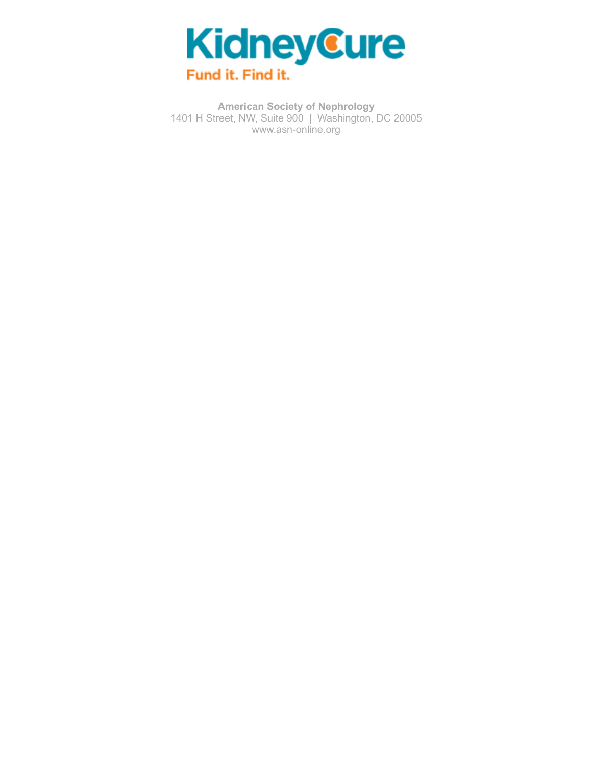

**American Society of Nephrology** 1401 H Street, NW, Suite 900 | Washington, DC 20005 [www.asn-online.org](http://send.asn-online.org/link.cfm?r=gFv-noe244TujwwtKtNDpg~~&pe=M2NbFHzOqTT7FZ7ojZli1Ubf45GNM8Hd4DqYdOS900UQKwGf0mUA3GQGroqWhUmQ&t=INSERT_TRACKING_ENCID)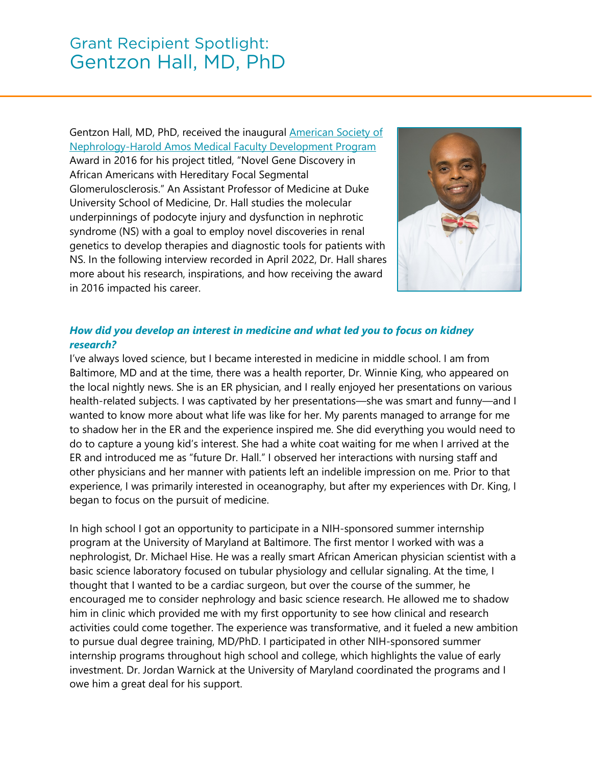Gentzon Hall, MD, PhD, received the inaugural **American Society of** [Nephrology-Harold Amos Medical Faculty Development Program](https://www.kidneycure.org/grants/faculty-development.aspx) Award in 2016 for his project titled, "Novel Gene Discovery in African Americans with Hereditary Focal Segmental Glomerulosclerosis." An Assistant Professor of Medicine at Duke University School of Medicine, Dr. Hall studies the molecular underpinnings of podocyte injury and dysfunction in nephrotic syndrome (NS) with a goal to employ novel discoveries in renal genetics to develop therapies and diagnostic tools for patients with NS. In the following interview recorded in April 2022, Dr. Hall shares more about his research, inspirations, and how receiving the award in 2016 impacted his career.



#### *How did you develop an interest in medicine and what led you to focus on kidney research?*

I've always loved science, but I became interested in medicine in middle school. I am from Baltimore, MD and at the time, there was a health reporter, Dr. Winnie King, who appeared on the local nightly news. She is an ER physician, and I really enjoyed her presentations on various health-related subjects. I was captivated by her presentations—she was smart and funny—and I wanted to know more about what life was like for her. My parents managed to arrange for me to shadow her in the ER and the experience inspired me. She did everything you would need to do to capture a young kid's interest. She had a white coat waiting for me when I arrived at the ER and introduced me as "future Dr. Hall." I observed her interactions with nursing staff and other physicians and her manner with patients left an indelible impression on me. Prior to that experience, I was primarily interested in oceanography, but after my experiences with Dr. King, I began to focus on the pursuit of medicine.

In high school I got an opportunity to participate in a NIH-sponsored summer internship program at the University of Maryland at Baltimore. The first mentor I worked with was a nephrologist, Dr. Michael Hise. He was a really smart African American physician scientist with a basic science laboratory focused on tubular physiology and cellular signaling. At the time, I thought that I wanted to be a cardiac surgeon, but over the course of the summer, he encouraged me to consider nephrology and basic science research. He allowed me to shadow him in clinic which provided me with my first opportunity to see how clinical and research activities could come together. The experience was transformative, and it fueled a new ambition to pursue dual degree training, MD/PhD. I participated in other NIH-sponsored summer internship programs throughout high school and college, which highlights the value of early investment. Dr. Jordan Warnick at the University of Maryland coordinated the programs and I owe him a great deal for his support.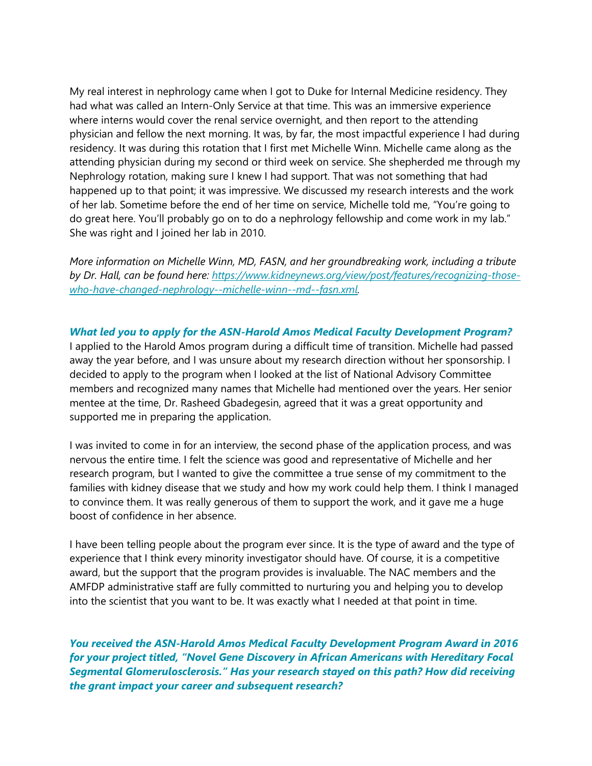My real interest in nephrology came when I got to Duke for Internal Medicine residency. They had what was called an Intern-Only Service at that time. This was an immersive experience where interns would cover the renal service overnight, and then report to the attending physician and fellow the next morning. It was, by far, the most impactful experience I had during residency. It was during this rotation that I first met Michelle Winn. Michelle came along as the attending physician during my second or third week on service. She shepherded me through my Nephrology rotation, making sure I knew I had support. That was not something that had happened up to that point; it was impressive. We discussed my research interests and the work of her lab. Sometime before the end of her time on service, Michelle told me, "You're going to do great here. You'll probably go on to do a nephrology fellowship and come work in my lab." She was right and I joined her lab in 2010.

*More information on Michelle Winn, MD, FASN, and her groundbreaking work, including a tribute by Dr. Hall, can be found here: [https://www.kidneynews.org/view/post/features/recognizing-those](https://www.kidneynews.org/view/post/features/recognizing-those-who-have-changed-nephrology--michelle-winn--md--fasn.xml)[who-have-changed-nephrology--michelle-winn--md--fasn.xml.](https://www.kidneynews.org/view/post/features/recognizing-those-who-have-changed-nephrology--michelle-winn--md--fasn.xml)*

*What led you to apply for the ASN-Harold Amos Medical Faculty Development Program?* I applied to the Harold Amos program during a difficult time of transition. Michelle had passed away the year before, and I was unsure about my research direction without her sponsorship. I decided to apply to the program when I looked at the list of National Advisory Committee members and recognized many names that Michelle had mentioned over the years. Her senior mentee at the time, Dr. Rasheed Gbadegesin, agreed that it was a great opportunity and supported me in preparing the application.

I was invited to come in for an interview, the second phase of the application process, and was nervous the entire time. I felt the science was good and representative of Michelle and her research program, but I wanted to give the committee a true sense of my commitment to the families with kidney disease that we study and how my work could help them. I think I managed to convince them. It was really generous of them to support the work, and it gave me a huge boost of confidence in her absence.

I have been telling people about the program ever since. It is the type of award and the type of experience that I think every minority investigator should have. Of course, it is a competitive award, but the support that the program provides is invaluable. The NAC members and the AMFDP administrative staff are fully committed to nurturing you and helping you to develop into the scientist that you want to be. It was exactly what I needed at that point in time.

*You received the ASN-Harold Amos Medical Faculty Development Program Award in 2016 for your project titled, "Novel Gene Discovery in African Americans with Hereditary Focal Segmental Glomerulosclerosis." Has your research stayed on this path? How did receiving the grant impact your career and subsequent research?*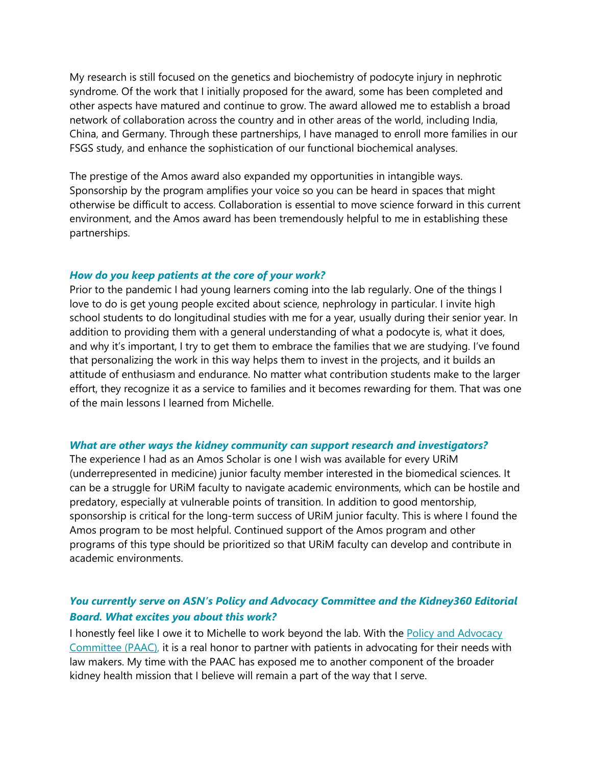My research is still focused on the genetics and biochemistry of podocyte injury in nephrotic syndrome. Of the work that I initially proposed for the award, some has been completed and other aspects have matured and continue to grow. The award allowed me to establish a broad network of collaboration across the country and in other areas of the world, including India, China, and Germany. Through these partnerships, I have managed to enroll more families in our FSGS study, and enhance the sophistication of our functional biochemical analyses.

The prestige of the Amos award also expanded my opportunities in intangible ways. Sponsorship by the program amplifies your voice so you can be heard in spaces that might otherwise be difficult to access. Collaboration is essential to move science forward in this current environment, and the Amos award has been tremendously helpful to me in establishing these partnerships.

#### *How do you keep patients at the core of your work?*

Prior to the pandemic I had young learners coming into the lab regularly. One of the things I love to do is get young people excited about science, nephrology in particular. I invite high school students to do longitudinal studies with me for a year, usually during their senior year. In addition to providing them with a general understanding of what a podocyte is, what it does, and why it's important, I try to get them to embrace the families that we are studying. I've found that personalizing the work in this way helps them to invest in the projects, and it builds an attitude of enthusiasm and endurance. No matter what contribution students make to the larger effort, they recognize it as a service to families and it becomes rewarding for them. That was one of the main lessons I learned from Michelle.

#### *What are other ways the kidney community can support research and investigators?*

The experience I had as an Amos Scholar is one I wish was available for every URiM (underrepresented in medicine) junior faculty member interested in the biomedical sciences. It can be a struggle for URiM faculty to navigate academic environments, which can be hostile and predatory, especially at vulnerable points of transition. In addition to good mentorship, sponsorship is critical for the long-term success of URiM junior faculty. This is where I found the Amos program to be most helpful. Continued support of the Amos program and other programs of this type should be prioritized so that URiM faculty can develop and contribute in academic environments.

#### *You currently serve on ASN's Policy and Advocacy Committee and the Kidney360 Editorial Board. What excites you about this work?*

I honestly feel like I owe it to Michelle to work beyond the lab. With the Policy and Advocacy [Committee \(PAAC\),](https://www.asn-online.org/about/committees/committee.aspx?panel=PAAC) it is a real honor to partner with patients in advocating for their needs with law makers. My time with the PAAC has exposed me to another component of the broader kidney health mission that I believe will remain a part of the way that I serve.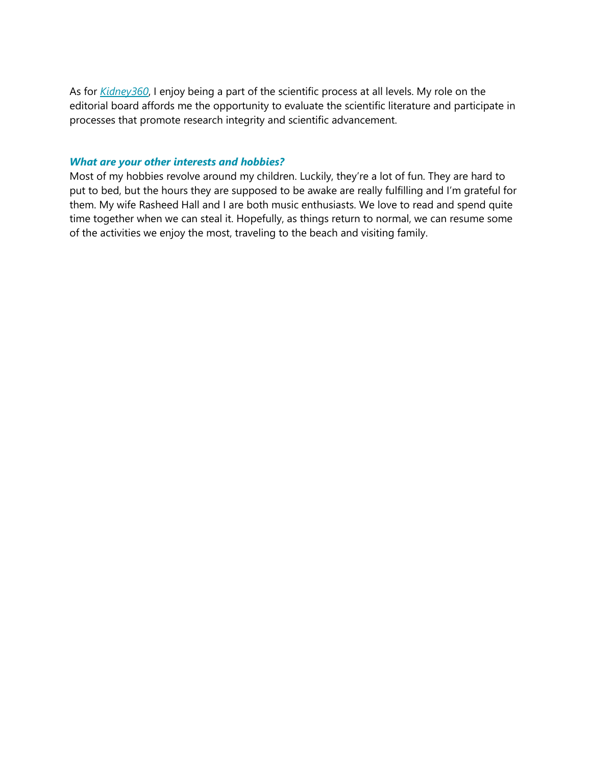As for *[Kidney360](https://kidney360.asnjournals.org/)*, I enjoy being a part of the scientific process at all levels. My role on the editorial board affords me the opportunity to evaluate the scientific literature and participate in processes that promote research integrity and scientific advancement.

#### *What are your other interests and hobbies?*

Most of my hobbies revolve around my children. Luckily, they're a lot of fun. They are hard to put to bed, but the hours they are supposed to be awake are really fulfilling and I'm grateful for them. My wife Rasheed Hall and I are both music enthusiasts. We love to read and spend quite time together when we can steal it. Hopefully, as things return to normal, we can resume some of the activities we enjoy the most, traveling to the beach and visiting family.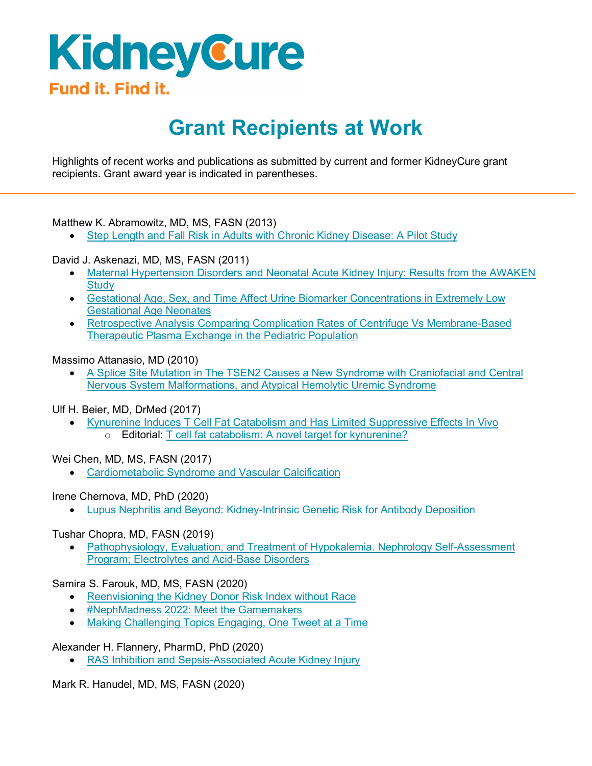## KidneyCure Fund it. Find it.

### **Grant Recipients at Work**

Highlights of recent works and publications as submitted by current and former KidneyCure grant recipients. Grant award year is indicated in parentheses.

#### Matthew K. Abramowitz, MD, MS, FASN (2013)

• [Step Length and Fall Risk in Adults with Chronic Kidney Disease: A Pilot Study](https://bmcnephrol.biomedcentral.com/articles/10.1186/s12882-022-02706-w)

#### David J. Askenazi, MD, MS, FASN (2011)

- [Maternal Hypertension Disorders and Neonatal Acute Kidney Injury: Results from the AWAKEN](https://pubmed.ncbi.nlm.nih.gov/35196719/) **[Study](https://pubmed.ncbi.nlm.nih.gov/35196719/)**
- [Gestational Age, Sex, and Time Affect Urine Biomarker Concentrations in Extremely Low](https://pubmed.ncbi.nlm.nih.gov/34845352/) [Gestational Age Neonates](https://pubmed.ncbi.nlm.nih.gov/34845352/)
- [Retrospective Analysis Comparing Complication Rates of Centrifuge Vs Membrane-Based](https://pubmed.ncbi.nlm.nih.gov/35137962/) [Therapeutic Plasma Exchange in the Pediatric Population](https://pubmed.ncbi.nlm.nih.gov/35137962/)

#### Massimo Attanasio, MD (2010)

• [A Splice Site Mutation in The TSEN2 Causes a New Syndrome with Craniofacial and Central](https://pubmed.ncbi.nlm.nih.gov/34964109/) [Nervous System Malformations, and Atypical Hemolytic Uremic Syndrome](https://pubmed.ncbi.nlm.nih.gov/34964109/)

Ulf H. Beier, MD, DrMed (2017)

• [Kynurenine Induces T Cell Fat Catabolism and Has Limited Suppressive Effects In Vivo](https://www.sciencedirect.com/science/article/pii/S2352396421005284) o Editorial: [T cell fat catabolism: A novel target for kynurenine?](file://asn8.hq.asn-online.org/development/ASN%20Foundation%20for%20Kidney%20Research/2022/Newsletters/March%202022/o%09https:/www.sciencedirect.com/science/article/pii/S2352396421005739)

Wei Chen, MD, MS, FASN (2017)

• [Cardiometabolic Syndrome and Vascular Calcification](https://e-cmsj.org/DOIx.php?id=10.51789/cmsj.2022.2.e2)

Irene Chernova, MD, PhD (2020)

• [Lupus Nephritis and Beyond: Kidney-Intrinsic Genetic Risk for Antibody Deposition](https://pubmed.ncbi.nlm.nih.gov/35028618/)

#### Tushar Chopra, MD, FASN (2019)

• [Pathophysiology, Evaluation, and Treatment of Hypokalemia. Nephrology Self-Assessment](https://nephsap.org/view/journals/nephsap/20/2/article-p102.xml) [Program; Electrolytes and Acid-Base Disorders](https://nephsap.org/view/journals/nephsap/20/2/article-p102.xml)

Samira S. Farouk, MD, MS, FASN (2020)

- [Reenvisioning the Kidney Donor Risk Index without Race](https://www.kidneynews.org/view/journals/kidney-news/14/1/article-p9_4.xml)
- [#NephMadness 2022: Meet the Gamemakers](https://ajkdblog.org/2022/02/25/nephmadness-2022-meet-the-gamemakers/)
- [Making Challenging Topics Engaging, One Tweet at a Time](https://reports.mountsinai.org/article/NEPH2022_6_Social-Media-and-Fellow-Education)

Alexander H. Flannery, PharmD, PhD (2020)

• [RAS Inhibition and Sepsis-Associated Acute Kidney Injury](https://www.sciencedirect.com/science/article/abs/pii/S0883944122000041)

Mark R. Hanudel, MD, MS, FASN (2020)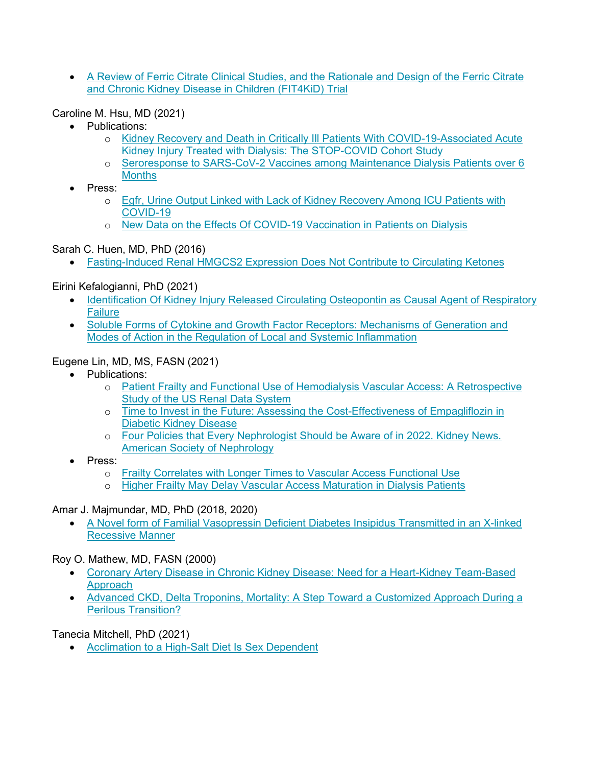• [A Review of Ferric Citrate Clinical Studies, and the Rationale and Design of the Ferric Citrate](https://pubmed.ncbi.nlm.nih.gov/35237863/)  [and Chronic Kidney Disease in Children \(FIT4KiD\) Trial](https://pubmed.ncbi.nlm.nih.gov/35237863/)

Caroline M. Hsu, MD (2021)

- Publications:
	- o [Kidney Recovery and Death in Critically Ill Patients With COVID-19-Associated Acute](https://www.ajkd.org/article/S0272-6386(21)01013-1/fulltext)  [Kidney Injury Treated with Dialysis: The STOP-COVID Cohort Study](https://www.ajkd.org/article/S0272-6386(21)01013-1/fulltext)
	- o [Seroresponse to SARS-CoV-2 Vaccines among Maintenance Dialysis Patients over 6](https://cjasn.asnjournals.org/content/17/3/403)  **[Months](https://cjasn.asnjournals.org/content/17/3/403)**
- Press:
	- o [Egfr, Urine Output Linked with Lack of Kidney Recovery Among ICU Patients with](https://www.healio.com/news/nephrology/20220302/egfr-urine-output-linked-with-lack-of-kidney-recovery-among-icu-patients-with-covid19?utm_source=selligent&utm_medium=email&utm_campaign=news&M_BT=2090046349342)  [COVID-19](https://www.healio.com/news/nephrology/20220302/egfr-urine-output-linked-with-lack-of-kidney-recovery-among-icu-patients-with-covid19?utm_source=selligent&utm_medium=email&utm_campaign=news&M_BT=2090046349342)
	- o [New Data on the Effects Of COVID-19 Vaccination in Patients on Dialysis](https://www.eurekalert.org/news-releases/942709)

Sarah C. Huen, MD, PhD (2016)

• [Fasting-Induced Renal HMGCS2 Expression Does Not Contribute to Circulating Ketones](https://journals.physiology.org/doi/abs/10.1152/ajprenal.00447.2021)

Eirini Kefalogianni, PhD (2021)

- [Identification Of Kidney Injury Released Circulating Osteopontin as Causal Agent of Respiratory](https://www.science.org/doi/10.1126/sciadv.abm5900?url_ver=Z39.88-2003&rfr_id=ori:rid:crossref.org&rfr_dat=cr_pub%20%200pubmed)  **[Failure](https://www.science.org/doi/10.1126/sciadv.abm5900?url_ver=Z39.88-2003&rfr_id=ori:rid:crossref.org&rfr_dat=cr_pub%20%200pubmed)**
- Soluble Forms of Cytokine and Growth Factor Receptors: Mechanisms of Generation and [Modes of Action in the Regulation of Local and Systemic Inflammation](file://asn8.hq.asn-online.org/development/ASN%20Foundation%20for%20Kidney%20Research/2022/Newsletters/March%202022/%E2%80%A2%09https:/febs.onlinelibrary.wiley.com/doi/10.1002/1873-3468.14305)

#### Eugene Lin, MD, MS, FASN (2021)

- Publications:
	- o [Patient Frailty and Functional Use of Hemodialysis Vascular Access: A Retrospective](https://www.ajkd.org/article/S0272-6386(21)01021-0/fulltext)  [Study of the US Renal Data System](https://www.ajkd.org/article/S0272-6386(21)01021-0/fulltext)
	- o [Time to Invest in the Future: Assessing the Cost-Effectiveness of Empagliflozin in](https://www.ajkd.org/article/S0272-6386(21)01012-X/fulltext)  [Diabetic Kidney Disease](https://www.ajkd.org/article/S0272-6386(21)01012-X/fulltext)
	- o [Four Policies that Every Nephrologist Should be Aware of in 2022. Kidney News.](http://onlinedigeditions.com/publication/?m=15191&i=732961&p=16&ver=html5)  [American Society of Nephrology](http://onlinedigeditions.com/publication/?m=15191&i=732961&p=16&ver=html5)
- Press:
	- o [Frailty Correlates with Longer Times to Vascular Access Functional Use](https://www.healio.com/news/nephrology/20211220/frailty-correlates-with-longer-times-to-vascular-access-functional-use)
	- o [Higher Frailty May Delay Vascular Access Maturation in Dialysis Patients](https://medicaldialogues.in/nephrology/news/higher-frailty-may-delay-vascular-access-maturation-in-dialysis-patients-89568)

Amar J. Majmundar, MD, PhD (2018, 2020)

• [A Novel form of Familial Vasopressin Deficient](https://pubmed.ncbi.nlm.nih.gov/35137152/) Diabetes Insipidus Transmitted in an X-linked [Recessive Manner](https://pubmed.ncbi.nlm.nih.gov/35137152/)

Roy O. Mathew, MD, FASN (2000)

- [Coronary Artery Disease in Chronic Kidney Disease: Need for a Heart-Kidney Team-Based](https://pubmed.ncbi.nlm.nih.gov/34950244/)  [Approach](https://pubmed.ncbi.nlm.nih.gov/34950244/)
- Advanced CKD, Delta Troponins, Mortality: A Step Toward a Customized Approach During a [Perilous Transition?](https://pubmed.ncbi.nlm.nih.gov/35086655/)

Tanecia Mitchell, PhD (2021)

• [Acclimation to a High-Salt Diet Is Sex Dependent](https://www.ahajournals.org/doi/10.1161/JAHA.120.020450?url_ver=Z39.88-2003&rfr_id=ori:rid:crossref.org&rfr_dat=cr_pub%20%200pubmed)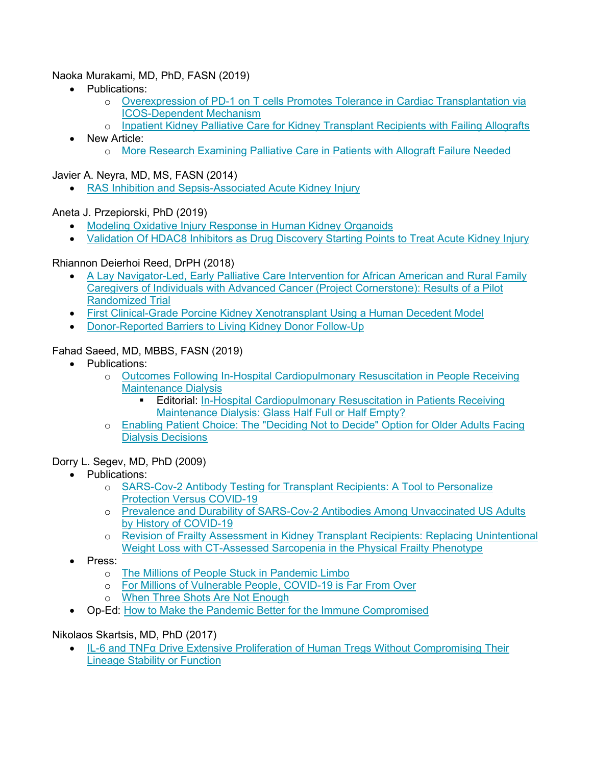#### Naoka Murakami, MD, PhD, FASN (2019)

- Publications:
	- o Overexpression [of PD-1 on T cells Promotes Tolerance in Cardiac Transplantation via](https://pubmed.ncbi.nlm.nih.gov/34752418/)  [ICOS-Dependent Mechanism](https://pubmed.ncbi.nlm.nih.gov/34752418/)
	- o [Inpatient Kidney Palliative Care for Kidney Transplant Recipients with Failing Allografts](https://pubmed.ncbi.nlm.nih.gov/35243310/)
- New Article:
	- o [More Research Examining Palliative Care in Patients with Allograft Failure Needed](https://www.healio.com/news/nephrology/20220114/more-research-examining-palliative-care-in-patients-with-allograft-failure-needed)

Javier A. Neyra, MD, MS, FASN (2014)

• [RAS Inhibition and Sepsis-Associated Acute Kidney Injury](https://pubmed.ncbi.nlm.nih.gov/35085853/)

#### Aneta J. Przepiorski, PhD (2019)

- [Modeling Oxidative Injury Response in Human Kidney](https://urldefense.proofpoint.com/v2/url?u=https-3A__nam12.safelinks.protection.outlook.com_-3Furl-3Dhttps-253A-252F-252Fwww.doi.org-252F10.1186-252Fs13287-2D022-2D02752-2Dz-26data-3D04-257C01-257CANETA-2540pitt.edu-257C76f8bf0fbb204e3f333d08da07a59c1b-257C9ef9f489e0a04eeb87cc3a526112fd0d-257C1-257C0-257C637830705698027457-257CUnknown-257CTWFpbGZsb3d8eyJWIjoiMC4wLjAwMDAiLCJQIjoiV2luMzIiLCJBTiI6Ik1haWwiLCJXVCI6Mn0-253D-257C3000-26sdata-3DPKx6zEgM4DA12yrErvGDGshhdQmS5ZmyQjcqF06siSA-253D-26reserved-3D0&d=DwMF-g&c=euGZstcaTDllvimEN8b7jXrwqOf-v5A_CdpgnVfiiMM&r=_Jl0ndjokLzIimSq7avr7hGQu2HvHhM45HIPePMLg3A&m=g_EhnJeLAi4XvmmG19GlNT6UjSKFGcTE509q-iaCTS8&s=YdD0VBCbJAl7xdSLUqKzj3UTY_bO5g-obFSKbY-80Fg&e=) Organoids
- [Validation Of HDAC8 Inhibitors as Drug Discovery Starting Points to Treat Acute Kidney Injury](https://urldefense.proofpoint.com/v2/url?u=https-3A__nam12.safelinks.protection.outlook.com_-3Furl-3Dhttps-253A-252F-252Fwww.doi.org-252F10.1021-252Facsptsci.1c00243-26data-3D04-257C01-257CANETA-2540pitt.edu-257C76f8bf0fbb204e3f333d08da07a59c1b-257C9ef9f489e0a04eeb87cc3a526112fd0d-257C1-257C0-257C637830705698027457-257CUnknown-257CTWFpbGZsb3d8eyJWIjoiMC4wLjAwMDAiLCJQIjoiV2luMzIiLCJBTiI6Ik1haWwiLCJXVCI6Mn0-253D-257C3000-26sdata-3DnJlsLHq-252Bi-252Bhnbu6LYqGUCm6z65cqSWbSyoMx0xYH4Iw-253D-26reserved-3D0&d=DwMF-g&c=euGZstcaTDllvimEN8b7jXrwqOf-v5A_CdpgnVfiiMM&r=_Jl0ndjokLzIimSq7avr7hGQu2HvHhM45HIPePMLg3A&m=g_EhnJeLAi4XvmmG19GlNT6UjSKFGcTE509q-iaCTS8&s=qR4-fhd7KSnVSxiYTLKc-EYDDIW8k3nS7ABDngECv6c&e=)

#### Rhiannon Deierhoi Reed, DrPH (2018)

- [A Lay Navigator-Led, Early Palliative Care Intervention for African American and Rural Family](https://pubmed.ncbi.nlm.nih.gov/34874061/)  [Caregivers of Individuals with Advanced Cancer \(Project Cornerstone\): Results of a Pilot](https://pubmed.ncbi.nlm.nih.gov/34874061/)  [Randomized Trial](https://pubmed.ncbi.nlm.nih.gov/34874061/)
- [First Clinical-Grade Porcine Kidney Xenotransplant Using a Human Decedent Model](https://pubmed.ncbi.nlm.nih.gov/35049121/)
- [Donor-Reported Barriers to Living Kidney Donor Follow-Up](https://pubmed.ncbi.nlm.nih.gov/35184328/)

#### Fahad Saeed, MD, MBBS, FASN (2019)

- Publications:
	- o [Outcomes Following In-Hospital Cardiopulmonary Resuscitation in People Receiving](https://pubmed.ncbi.nlm.nih.gov/35086655/)  [Maintenance Dialysis](https://pubmed.ncbi.nlm.nih.gov/35086655/)
		- Editorial: [In-Hospital Cardiopulmonary Resuscitation in Patients Receiving](https://www.ncbi.nlm.nih.gov/pmc/articles/PMC8767139/)  Maintenance Dialysis: Glass Half Full or Half Empty?
	- o [Enabling Patient Choice: The "Deciding Not to Decide" Option for Older Adults Facing](https://pubmed.ncbi.nlm.nih.gov/35169067/)  [Dialysis Decisions](https://pubmed.ncbi.nlm.nih.gov/35169067/)

#### Dorry L. Segev, MD, PhD (2009)

- Publications:
	- o [SARS-Cov-2 Antibody Testing for Transplant Recipients: A Tool to Personalize](https://pubmed.ncbi.nlm.nih.gov/35119179/)  [Protection Versus COVID-19](https://pubmed.ncbi.nlm.nih.gov/35119179/)
	- o [Prevalence and Durability of SARS-Cov-2 Antibodies Among Unvaccinated US Adults](https://pubmed.ncbi.nlm.nih.gov/35113143/)  [by History of COVID-19](https://pubmed.ncbi.nlm.nih.gov/35113143/)
	- o [Revision of Frailty Assessment in Kidney Transplant Recipients: Replacing Unintentional](https://pubmed.ncbi.nlm.nih.gov/34953170/)  [Weight Loss with CT-Assessed Sarcopenia in the Physical Frailty Phenotype](https://pubmed.ncbi.nlm.nih.gov/34953170/)
- Press:
	- o [The Millions of People Stuck in Pandemic Limbo](file://asn8.hq.asn-online.org/development/ASN%20Foundation%20for%20Kidney%20Research/2022/Newsletters/March%202022/o%09https:/www.theatlantic.com/health/archive/2022/02/covid-pandemic-immunocompromised-risk-vaccines/622094/)
	- o [For Millions of Vulnerable People, COVID-19 is Far From Over](https://www.nationalgeographic.com/science/article/for-millions-of-vulnerable-people-covid-19-is-far-from-over)
	- o [When Three Shots Are Not Enough](file://asn8.hq.asn-online.org/development/ASN%20Foundation%20for%20Kidney%20Research/2022/Newsletters/March%202022/o%09https:/www.nytimes.com/2022/01/03/us/additional-doses-covid-vaccine.html)
- Op-Ed: [How to Make the Pandemic Better for the Immune Compromised](https://www.nytimes.com/2022/01/13/opinion/omicron-immunocompromised.html)

#### Nikolaos Skartsis, MD, PhD (2017)

• IL-[6 and TNFα Drive Extensive Proliferation of Human Tregs Without Compromising Their](file://asn8.hq.asn-online.org/development/ASN%20Foundation%20for%20Kidney%20Research/2022/Newsletters/March%202022/%E2%80%A2%09https:/www.frontiersin.org/articles/10.3389/fimmu.2021.783282/full)  [Lineage Stability or Function](file://asn8.hq.asn-online.org/development/ASN%20Foundation%20for%20Kidney%20Research/2022/Newsletters/March%202022/%E2%80%A2%09https:/www.frontiersin.org/articles/10.3389/fimmu.2021.783282/full)